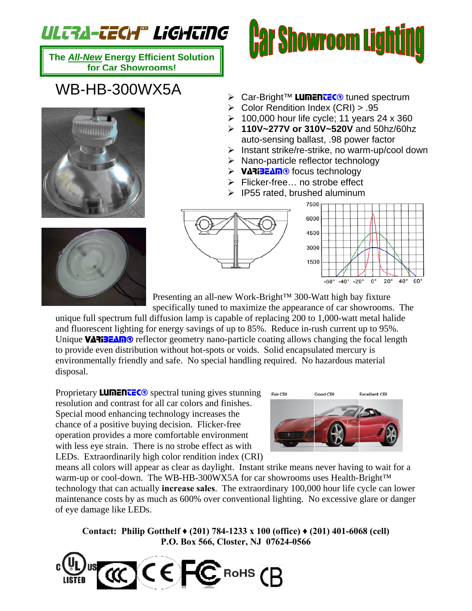## ULTRA-TECH® LiGHTiNG

**The** *All-New* **Energy Efficient Solution for Car Showrooms!**

## WB-HB-300WX5A





- > Car-Bright™ LumenueC® tuned spectrum
- ¾ Color Rendition Index (CRI) > .95
- $\geq 100,000$  hour life cycle; 11 years 24 x 360
- ¾ **110V~277V or 310V~520V** and 50hz/60hz auto-sensing ballast, .98 power factor
- ¾ Instant strike/re-strike, no warm-up/cool down
- ¾ Nano-particle reflector technology
- > VARIBEAM® focus technology
- ¾ Flicker-free… no strobe effect
- $\triangleright$  IP55 rated, brushed aluminum







Presenting an all-new Work-Bright™ 300-Watt high bay fixture

specifically tuned to maximize the appearance of car showrooms. The

unique full spectrum full diffusion lamp is capable of replacing 200 to 1,000-watt metal halide and fluorescent lighting for energy savings of up to 85%. Reduce in-rush current up to 95%. Unique VARIBEAM® reflector geometry nano-particle coating allows changing the focal length to provide even distribution without hot-spots or voids. Solid encapsulated mercury is environmentally friendly and safe. No special handling required. No hazardous material disposal.

Proprietary **LUMENTEC®** spectral tuning gives stunning resolution and contrast for all car colors and finishes. Special mood enhancing technology increases the chance of a positive buying decision. Flicker-free operation provides a more comfortable environment with less eye strain. There is no strobe effect as with LEDs. Extraordinarily high color rendition index (CRI)



means all colors will appear as clear as daylight. Instant strike means never having to wait for a warm-up or cool-down. The WB-HB-300WX5A for car showrooms uses Health-Bright™ technology that can actually **increase sales**. The extraordinary 100,000 hour life cycle can lower maintenance costs by as much as 600% over conventional lighting. No excessive glare or danger of eye damage like LEDs.

**Contact: Philip Gotthelf ♦ (201) 784-1233 x 100 (office) ♦ (201) 401-6068 (cell) P.O. Box 566, Closter, NJ 07624-0566**